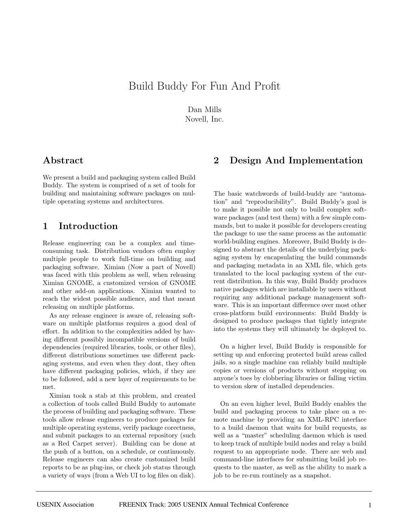# Build Buddy For Fun And Profit

Dan Mills Novell, Inc.

# **Abstract**

We present a build and packaging system called Build Buddy. The system is comprised of a set of tools for building and maintaining software packages on multiple operating systems and architectures.

# **1 Introduction**

Release engineering can be a complex and timeconsuming task. Distribution vendors often employ multiple people to work full-time on building and packaging software. Ximian (Now a part of Novell) was faced with this problem as well, when releasing Ximian GNOME, a customized version of GNOME and other add-on applications. Ximian wanted to reach the widest possible audience, and that meant releasing on multiple platforms.

As any release engineer is aware of, releasing software on multiple platforms requires a good deal of effort. In addition to the complexities added by having different possibly incompatible versions of build dependencies (required libraries, tools, or other files), different distributions sometimes use different packaging systems, and even when they dont, they often have different packaging policies, which, if they are to be followed, add a new layer of requirements to be met.

Ximian took a stab at this problem, and created a collection of tools called Build Buddy to automate the process of building and packaging software. These tools allow release engineers to produce packages for multiple operating systems, verify package corectness, and submit packages to an external repository (such as a Red Carpet server). Building can be done at the push of a button, on a schedule, or continuously. Release engineers can also create customized build reports to be as plug-ins, or check job status through a variety of ways (from a Web UI to log files on disk).

# **2 Design And Implementation**

The basic watchwords of build-buddy are "automation" and "reproducibility". Build Buddy's goal is to make it possible not only to build complex software packages (and test them) with a few simple commands, but to make it possible for developers creating the package to use the same process as the automatic world-building engines. Moreover, Build Buddy is designed to abstract the details of the underlying packaging system by encapsulating the build commands and packaging metadata in an XML file, which gets translated to the local packaging system of the current distribution. In this way, Build Buddy produces native packages which are installable by users without requiring any additional package management software. This is an important difference over most other cross-platform build environments: Build Buddy is designed to produce packages that tightly integrate into the systems they will ultimately be deployed to.

On a higher level, Build Buddy is responsible for setting up and enforcing protected build areas called jails, so a single machine can reliably build multiple copies or versions of products without stepping on anyone's toes by clobbering libraries or falling victim to version skew of installed dependencies.

On an even higher level, Build Buddy enables the build and packaging process to take place on a remote machine by providing an XML-RPC interface to a build daemon that waits for build requests, as well as a "master" scheduling daemon which is used to keep track of multiple build nodes and relay a build request to an appropriate node. There are web and command-line interfaces for submitting build job requests to the master, as well as the ability to mark a job to be re-run routinely as a snapshot.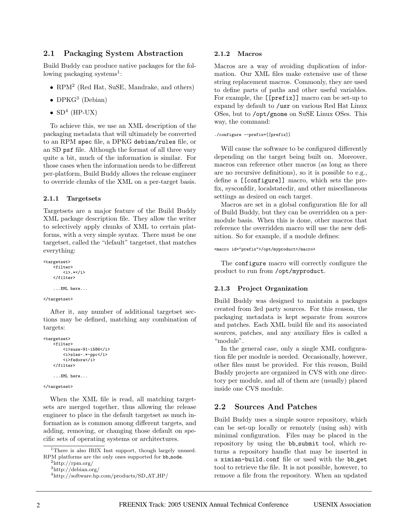### **2.1 Packaging System Abstraction**

Build Buddy can produce native packages for the following packaging systems<sup>1</sup>:

- RPM<sup>2</sup> (Red Hat, SuSE, Mandrake, and others)
- DPK $G^3$  (Debian)
- $SD<sup>4</sup>$  (HP-UX)

To achieve this, we use an XML description of the packaging metadata that will ultimately be converted to an RPM spec file, a DPKG debian/rules file, or an SD psf file. Although the format of all three vary quite a bit, much of the information is similar. For those cases when the information needs to be different per-platform, Build Buddy allows the release engineer to override chunks of the XML on a per-target basis.

### **2.1.1 Targetsets**

Targetsets are a major feature of the Build Buddy XML package description file. They allow the writer to selectively apply chunks of XML to certain platforms, with a very simple syntax. There must be one targetset, called the "default" targetset, that matches everything:

```
<targetset>
     。<br><filter>
         <i>.*</i>
    </filter>
    ...XML here...
```
#### </targetset>

After it, any number of additional targetset sections may be defined, matching any combination of targets:

```
<targetset>
    <filter>
        <i>suse-91-i586</i>
        <i>sles-.*-ppc</i>
        <i>fedora</i>
    </filter>
    ...XML here...
```
#### </targetset>

When the XML file is read, all matching targetsets are merged together, thus allowing the release engineer to place in the default targetset as much information as is common among different targets, and adding, removing, or changing those default on specific sets of operating systems or architectures.

#### **2.1.2 Macros**

Macros are a way of avoiding duplication of information. Our XML files make extensive use of these string replacement macros. Commonly, they are used to define parts of paths and other useful variables. For example, the [[prefix]] macro can be set-up to expand by default to /usr on various Red Hat Linux OSes, but to /opt/gnome on SuSE Linux OSes. This way, the command:

#### ./configure --prefix=[[prefix]]

Will cause the software to be configured differently depending on the target being built on. Moreover, macros can reference other macros (as long as there are no recursive definitions), so it is possible to e.g., define a [[configure]] macro, which sets the prefix, sysconfdir, localstatedir, and other miscellaneous settings as desired on each target.

Macros are set in a global configuration file for all of Build Buddy, but they can be overridden on a permodule basis. When this is done, other macros that reference the overridden macro will use the new definition. So for example, if a module defines:

<macro id="prefix">/opt/myproduct</macro>

The configure macro will correctly configure the product to run from /opt/myproduct.

### **2.1.3 Project Organization**

Build Buddy was designed to maintain a packages created from 3rd party sources. For this reason, the packaging metadata is kept separate from sources and patches. Each XML build file and its associated sources, patches, and any auxiliary files is called a "module".

In the general case, only a single XML configuration file per module is needed. Occasionally, however, other files must be provided. For this reason, Build Buddy projects are organized in CVS with one directory per module, and all of them are (usually) placed inside one CVS module.

### **2.2 Sources And Patches**

Build Buddy uses a simple source repository, which can be set-up locally or remotely (using ssh) with minimal configuration. Files may be placed in the repository by using the bb\_submit tool, which returns a repository handle that may be inserted in a ximian-build.conf file or used with the bb get tool to retrieve the file. It is not possible, however, to remove a file from the repository. When an updated

<sup>&</sup>lt;sup>1</sup>There is also IRIX Inst support, though largely unused. RPM platforms are the only ones supported for bb node.<br> $^{2}$ http://rpm.org/

<sup>3</sup>http://debian.org/

<sup>4</sup>http://software.hp.com/products/SD AT HP/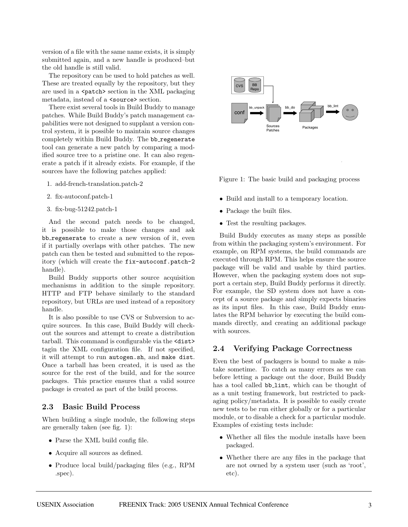version of a file with the same name exists, it is simply submitted again, and a new handle is produced–but the old handle is still valid.

The repository can be used to hold patches as well. These are treated equally by the repository, but they are used in a <patch> section in the XML packaging metadata, instead of a <source> section.

There exist several tools in Build Buddy to manage patches. While Build Buddy's patch management capabilities were not designed to supplant a version control system, it is possible to maintain source changes completely within Build Buddy. The bb\_regenerate tool can generate a new patch by comparing a modified source tree to a pristine one. It can also regenerate a patch if it already exists. For example, if the sources have the following patches applied:

- 1. add-french-translation.patch-2
- 2. fix-autoconf.patch-1
- 3. fix-bug-51242.patch-1

And the second patch needs to be changed, it is possible to make those changes and ask bb\_regenerate to create a new version of it, even if it partially overlaps with other patches. The new patch can then be tested and submitted to the repository (which will create the fix-autoconf.patch-2 handle).

Build Buddy supports other source acquisition mechanisms in addition to the simple repository. HTTP and FTP behave similarly to the standard repository, but URLs are used instead of a repository handle.

It is also possible to use CVS or Subversion to acquire sources. In this case, Build Buddy will checkout the sources and attempt to create a distribution tarball. This command is configurable via the <dist> tagin the XML configuration file. If not specified, it will attempt to run autogen.sh, and make dist. Once a tarball has been created, it is used as the source for the rest of the build, and for the source packages. This practice ensures that a valid source package is created as part of the build process.

## **2.3 Basic Build Process**

When building a single module, the following steps are generally taken (see fig. 1):

- Parse the XML build config file.
- Acquire all sources as defined.
- Produce local build/packaging files (e.g., RPM .spec).



Figure 1: The basic build and packaging process

- Build and install to a temporary location.
- Package the built files.
- Test the resulting packages.

Build Buddy executes as many steps as possible from within the packaging system's environment. For example, on RPM systems, the build commands are executed through RPM. This helps ensure the source package will be valid and usable by third parties. However, when the packaging system does not support a certain step, Build Buddy performs it directly. For example, the SD system does not have a concept of a source package and simply expects binaries as its input files. In this case, Build Buddy emulates the RPM behavior by executing the build commands directly, and creating an additional package with sources.

### **2.4 Verifying Package Correctness**

Even the best of packagers is bound to make a mistake sometime. To catch as many errors as we can before letting a package out the door, Build Buddy has a tool called bb\_lint, which can be thought of as a unit testing framework, but restricted to packaging policy/metadata. It is possible to easily create new tests to be run either globally or for a particular module, or to disable a check for a particular module. Examples of existing tests include:

- Whether all files the module installs have been packaged.
- Whether there are any files in the package that are not owned by a system user (such as 'root', etc).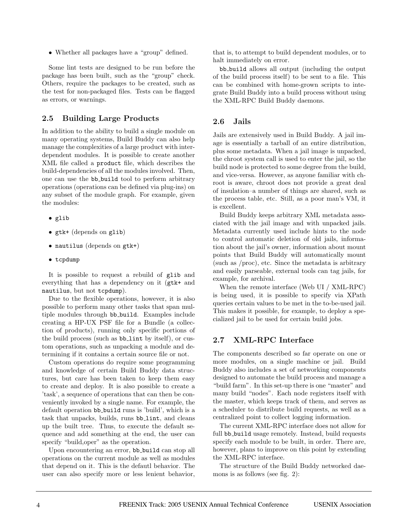• Whether all packages have a "group" defined.

Some lint tests are designed to be run before the package has been built, such as the "group" check. Others, require the packages to be created, such as the test for non-packaged files. Tests can be flagged as errors, or warnings.

### **2.5 Building Large Products**

In addition to the ability to build a single module on many operating systems, Build Buddy can also help manage the complexities of a large product with interdependent modules. It is possible to create another XML file called a product file, which describes the build-dependencies of all the modules involved. Then, one can use the bb build tool to perform arbitrary operations (operations can be defined via plug-ins) on any subset of the module graph. For example, given the modules:

- glib
- gtk+ (depends on glib)
- nautilus (depends on gtk+)
- tcpdump

It is possible to request a rebuild of glib and everything that has a dependency on it (gtk+ and nautilus, but not tcpdump).

Due to the flexible operations, however, it is also possible to perform many other tasks that span multiple modules through bb\_build. Examples include creating a HP-UX PSF file for a Bundle (a collection of products), running only specific portions of the build process (such as  $bb\_lint$  by itself), or custom operations, such as unpacking a module and determining if it contains a certain source file or not.

Custom operations do require some programming and knowledge of certain Build Buddy data structures, but care has been taken to keep them easy to create and deploy. It is also possible to create a 'task', a sequence of operations that can then be conveniently invoked by a single name. For example, the default operation bb\_build runs is 'build', which is a task that unpacks, builds, runs bb\_lint, and cleans up the built tree. Thus, to execute the default sequence and add something at the end, the user can specify "build, oper" as the operation.

Upon encountering an error, bb\_build can stop all operations on the current module as well as modules that depend on it. This is the defautl behavior. The user can also specify more or less lenient behavior,

that is, to attempt to build dependent modules, or to halt immediately on error.

bb build allows all output (including the output of the build process itself) to be sent to a file. This can be combined with home-grown scripts to integrate Build Buddy into a build process without using the XML-RPC Build Buddy daemons.

### **2.6 Jails**

Jails are extensively used in Build Buddy. A jail image is essentially a tarball of an entire distribution, plus some metadata. When a jail image is unpacked, the chroot system call is used to enter the jail, so the build node is protected to some degree from the build, and vice-versa. However, as anyone familiar with chroot is aware, chroot does not provide a great deal of insulation–a number of things are shared, such as the process table, etc. Still, as a poor man's VM, it is excellent.

Build Buddy keeps arbitrary XML metadata associated with the jail image and with unpacked jails. Metadata currently used include hints to the node to control automatic deletion of old jails, information about the jail's owner, information about mount points that Build Buddy will automatically mount (such as /proc), etc. Since the metadata is arbitrary and easily parseable, external tools can tag jails, for example, for archival.

When the remote interface (Web UI / XML-RPC) is being used, it is possible to specify via XPath queries certain values to be met in the to-be-used jail. This makes it possible, for example, to deploy a specialized jail to be used for certain build jobs.

## **2.7 XML-RPC Interface**

The components described so far operate on one or more modules, on a single machine or jail. Build Buddy also includes a set of networking components designed to automate the build process and manage a "build farm". In this set-up there is one "master" and many build "nodes". Each node registers itself with the master, which keeps track of them, and serves as a scheduler to distribute build requests, as well as a centralized point to collect logging information.

The current XML-RPC interface does not allow for full bb build usage remotely. Instead, build requests specify each module to be built, in order. There are, however, plans to improve on this point by extending the XML-RPC interface.

The structure of the Build Buddy networked daemons is as follows (see fig. 2):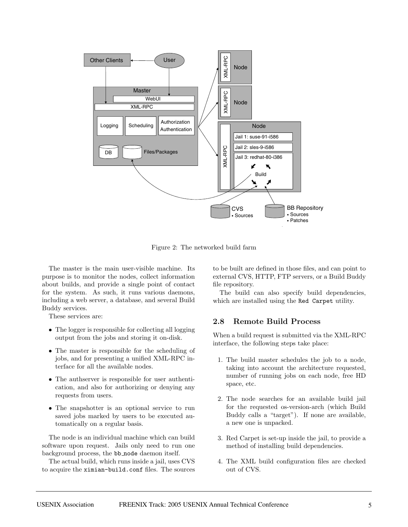

Figure 2: The networked build farm

The master is the main user-visible machine. Its purpose is to monitor the nodes, collect information about builds, and provide a single point of contact for the system. As such, it runs various daemons, including a web server, a database, and several Build Buddy services.

These services are:

- The logger is responsible for collecting all logging output from the jobs and storing it on-disk.
- The master is responsible for the scheduling of jobs, and for presenting a unified XML-RPC interface for all the available nodes.
- The authserver is responsible for user authentication, and also for authorizing or denying any requests from users.
- The snapshotter is an optional service to run saved jobs marked by users to be executed automatically on a regular basis.

The node is an individual machine which can build software upon request. Jails only need to run one background process, the bb node daemon itself.

The actual build, which runs inside a jail, uses CVS to acquire the ximian-build.conf files. The sources to be built are defined in those files, and can point to external CVS, HTTP, FTP servers, or a Build Buddy file repository.

The build can also specify build dependencies, which are installed using the Red Carpet utility.

### **2.8 Remote Build Process**

When a build request is submitted via the XML-RPC interface, the following steps take place:

- 1. The build master schedules the job to a node, taking into account the architecture requested, number of running jobs on each node, free HD space, etc.
- 2. The node searches for an available build jail for the requested os-version-arch (which Build Buddy calls a "target"). If none are available, a new one is unpacked.
- 3. Red Carpet is set-up inside the jail, to provide a method of installing build dependencies.
- 4. The XML build configuration files are checked out of CVS.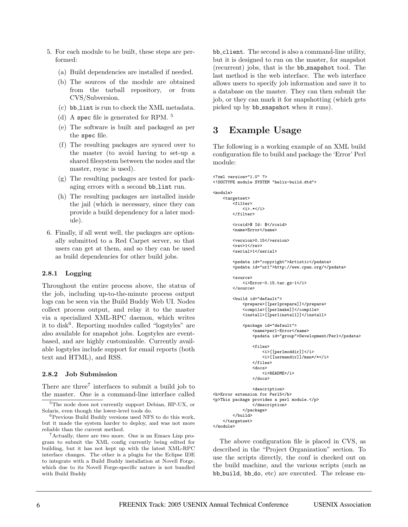- 5. For each module to be built, these steps are performed:
	- (a) Build dependencies are installed if needed.
	- (b) The sources of the module are obtained from the tarball repository, or from CVS/Subversion.
	- (c) bb lint is run to check the XML metadata.
	- (d) A spec file is generated for RPM. <sup>5</sup>
	- (e) The software is built and packaged as per the spec file.
	- (f) The resulting packages are synced over to the master (to avoid having to set-up a shared filesystem between the nodes and the master, rsync is used).
	- (g) The resulting packages are tested for packaging errors with a second bb\_lint run.
	- (h) The resulting packages are installed inside the jail (which is necessary, since they can provide a build dependency for a later module).
- 6. Finally, if all went well, the packages are optionally submitted to a Red Carpet server, so that users can get at them, and so they can be used as build dependencies for other build jobs.

### **2.8.1 Logging**

Throughout the entire process above, the status of the job, including up-to-the-minute process output logs can be seen via the Build Buddy Web UI. Nodes collect process output, and relay it to the master via a specialized XML-RPC daemon, which writes it to disk<sup>6</sup>. Reporting modules called "logstyles" are also available for snapshot jobs. Logstyles are eventbased, and are highly customizable. Currently available logstyles include support for email reports (both text and HTML), and RSS.

#### **2.8.2 Job Submission**

There are three<sup>7</sup> interfaces to submit a build job to the master. One is a command-line interface called

<sup>7</sup>Actually, there are two more. One is an Emacs Lisp program to submit the XML config currently being edited for building, but it has not kept up with the latest XML-RPC interface changes. The other is a plugin for the Eclipse IDE to integrate with a Build Buddy installation at Novell Forge, which due to its Novell Forge-specific nature is not bundled with Build Buddy

bb client. The second is also a command-line utility, but it is designed to run on the master, for snapshot (recurrent) jobs, that is the bb snapshot tool. The last method is the web interface. The web interface allows users to specify job information and save it to a database on the master. They can then submit the job, or they can mark it for snapshotting (which gets picked up by bb\_snapshot when it runs).

## **3 Example Usage**

The following is a working example of an XML build configuration file to build and package the 'Error' Perl module:

```
<?xml version="1.0" ?>
<!DOCTYPE module SYSTEM "helix-build.dtd">
```

```
<module>
    <targetset>
        <filter>
            <i>.*</i>
        </filter>
        <rcsid>$ Id: $</rcsid>
        <name>Error</name>
        <version>0.15</version>
        <rev>1</rev>
        <serial>1</serial>
        <psdata id="copyright">Artistic</psdata>
        <psdata id="url">http://www.cpan.org/</psdata>
        <source>
            <i>Error-0.15.tar.gz-1</i>
        </source>
        <build id="default">
            <prepare>[[perlprepare]]</prepare>
            <compile>[[perlmake]]</compile>
            <install>[[perlinstall]]</install>
            <package id="default">
                <name>perl-Error</name>
                <psdata id="group">Development/Perl</psdata>
                <files>
                    <i>[[perlmoddir]]</i>
                    <i>[[usrmandir]]/man*/*</i>
                </files>
                <docs>
                    <i>README</i>
                </docs>
                <description>
<h>Error extension for Perl5</h>
<p>This package provides a perl module.</p>
                </description>
            </package>
        </build>
```
</targetset> </module>

The above configuration file is placed in CVS, as described in the "Project Organization" section. To use the scripts directly, the conf is checked out on the build machine, and the various scripts (such as bb build, bb do, etc) are executed. The release en-

<sup>&</sup>lt;sup>5</sup>The node does not currently support Debian, HP-UX, or Solaris, even though the lower-level tools do.

<sup>6</sup>Previous Build Buddy versions used NFS to do this work, but it made the system harder to deploy, and was not more reliable than the current method.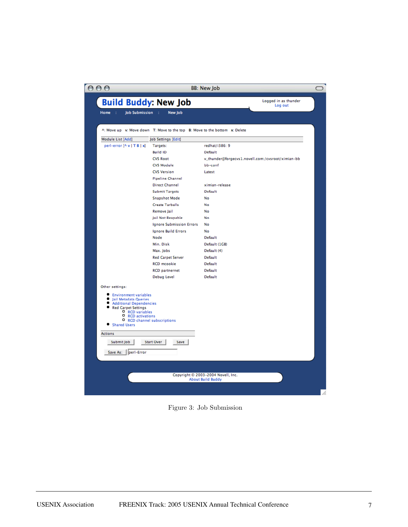| <b>Build Buddy: New Job</b>                                                                                                                                                          |                                                                            | Logged in as thunder<br>Log out                   |
|--------------------------------------------------------------------------------------------------------------------------------------------------------------------------------------|----------------------------------------------------------------------------|---------------------------------------------------|
| Job Submission :<br>Home :                                                                                                                                                           | New Job                                                                    |                                                   |
|                                                                                                                                                                                      | A: Move up v: Move down T: Move to the top B: Move to the bottom x: Delete |                                                   |
| Module List [Add]                                                                                                                                                                    | Job Settings [Edit]                                                        |                                                   |
| perl-error [^ v   T B   x]                                                                                                                                                           | Targets:                                                                   | redhat/i386: 9                                    |
|                                                                                                                                                                                      | Build ID                                                                   | <b>Default</b>                                    |
|                                                                                                                                                                                      | <b>CVS Root</b>                                                            | v_thunder@forgecvs1.novell.com:/cvsroot/ximian-bb |
|                                                                                                                                                                                      | <b>CVS Module</b>                                                          | bb-conf                                           |
|                                                                                                                                                                                      | <b>CVS Version</b>                                                         | Latest                                            |
|                                                                                                                                                                                      | <b>Pipeline Channel</b>                                                    | ximian-release                                    |
|                                                                                                                                                                                      | <b>Direct Channel</b>                                                      | Default                                           |
|                                                                                                                                                                                      | <b>Submit Targets</b><br><b>Snapshot Mode</b>                              | No                                                |
|                                                                                                                                                                                      | <b>Create Tarballs</b>                                                     | No                                                |
|                                                                                                                                                                                      | <b>Remove lail</b>                                                         | No                                                |
|                                                                                                                                                                                      | Jail Not Reapable                                                          | No                                                |
|                                                                                                                                                                                      | <b>Ignore Submission Errors</b>                                            | No                                                |
|                                                                                                                                                                                      | <b>Ignore Build Errors</b>                                                 | No                                                |
|                                                                                                                                                                                      | Node                                                                       | Default                                           |
|                                                                                                                                                                                      | Min. Disk                                                                  | Default (1GB)                                     |
|                                                                                                                                                                                      | Max. Jobs                                                                  | Default (4)                                       |
|                                                                                                                                                                                      | <b>Red Carpet Server</b>                                                   | <b>Default</b>                                    |
|                                                                                                                                                                                      | <b>RCD</b> mcookie                                                         | <b>Default</b>                                    |
|                                                                                                                                                                                      | <b>RCD</b> partnernet                                                      | <b>Default</b>                                    |
|                                                                                                                                                                                      | Debug Level                                                                | <b>Default</b>                                    |
| Other settings:                                                                                                                                                                      |                                                                            |                                                   |
| <b>Environment variables</b><br>Jail Metadata Queries<br><b>Additional Dependencies</b><br>Red Carpet Settings<br><b>O</b> RCD variables<br><b>O</b> RCD activations<br>Shared Users | <b>O</b> RCD channel subscriptions                                         |                                                   |
| <b>Actions</b>                                                                                                                                                                       |                                                                            |                                                   |
| Submit Job                                                                                                                                                                           | Start Over<br>Save                                                         |                                                   |
| Save As:   perl-Error                                                                                                                                                                |                                                                            |                                                   |
|                                                                                                                                                                                      |                                                                            |                                                   |
|                                                                                                                                                                                      |                                                                            |                                                   |

Figure 3: Job Submission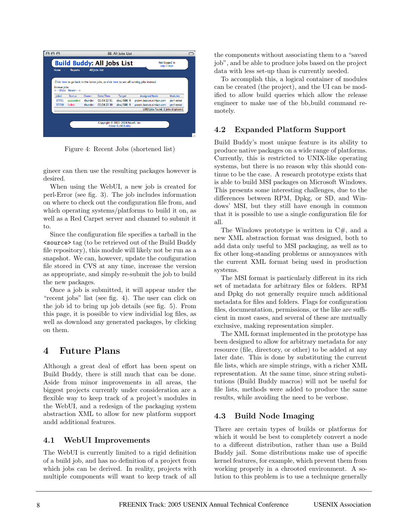

Figure 4: Recent Jobs (shortened list)

gineer can then use the resulting packages however is desired.

When using the WebUI, a new job is created for perl-Error (see fig. 3). The job includes information on where to check out the configuration file from, and which operating systems/platforms to build it on, as well as a Red Carpet server and channel to submit it to.

Since the configuration file specifies a tarball in the <source> tag (to be retrieved out of the Build Buddy file repository), this module will likely not be run as a snapshot. We can, however, update the configuration file stored in CVS at any time, increase the version as appropriate, and simply re-submit the job to build the new packages.

Once a job is submitted, it will appear under the "recent jobs" list (see fig. 4). The user can click on the job id to bring up job details (see fig. 5). From this page, it is possible to view individial log files, as well as download any generated packages, by clicking on them.

# **4 Future Plans**

Although a great deal of effort has been spent on Build Buddy, there is still much that can be done. Aside from minor improvements in all areas, the biggest projects currently under consideration are a flexible way to keep track of a project's modules in the WebUI, and a redesign of the packaging system abstraction XML to allow for new platform support andd additional features.

## **4.1 WebUI Improvements**

The WebUI is currently limited to a rigid definition of a build job, and has no definition of a project from which jobs can be derived. In reality, projects with multiple components will want to keep track of all

the components without associating them to a "saved job", and be able to produce jobs based on the project data with less set-up than is currently needed.

To accomplish this, a logical container of modules can be created (the project), and the UI can be modified to allow build queries which allow the release engineer to make use of the bb build command remotely.

## **4.2 Expanded Platform Support**

Build Buddy's most unique feature is its ability to produce native packages on a wide range of platforms. Currently, this is restricted to UNIX-like operating systems, but there is no reason why this should continue to be the case. A research prototype exists that is able to build MSI packages on Microsoft Windows. This presents some interesting challenges, due to the differences between RPM, Dpkg, or SD, and Windows' MSI, but they still have enough in common that it is possible to use a single configuration file for all.

The Windows prototype is written in  $C\#$ , and a new XML abstraction format was designed, both to add data only useful to MSI packaging, as well as to fix other long-standing problems or annoyances with the current XML format being used in production systems.

The MSI format is particularly different in its rich set of metadata for arbitrary files or folders. RPM and Dpkg do not generally require much additional metadata for files and folders. Flags for configuration files, documentation, permissions, or the like are sufficient in most cases, and several of these are mutually exclusive, making representation simpler.

The XML format implemented in the prototype has been designed to allow for arbitrary metadata for any resource (file, directory, or other) to be added at any later date. This is done by substituting the current file lists, which are simple strings, with a richer XML representation. At the same time, since string substitutions (Build Buddy macros) will not be useful for file lists, methods were added to produce the same results, while avoiding the need to be verbose.

## **4.3 Build Node Imaging**

There are certain types of builds or platforms for which it would be best to completely convert a node to a different distribution, rather than use a Build Buddy jail. Some distributions make use of specific kernel features, for example, which prevent them from working properly in a chrooted environment. A solution to this problem is to use a technique generally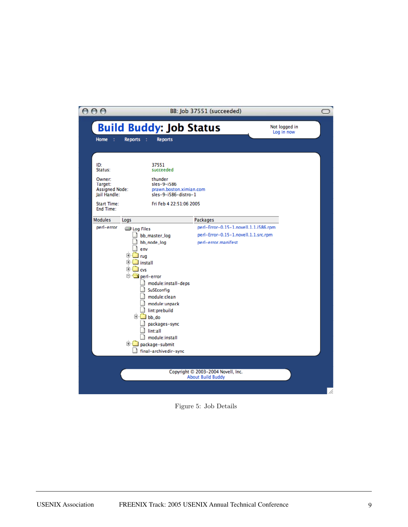| 000                                                                                         |                                                                                                                                                                                               |                                                                                                                                                 | BB: Job 37551 (succeeded)                                                                            |                             |  |
|---------------------------------------------------------------------------------------------|-----------------------------------------------------------------------------------------------------------------------------------------------------------------------------------------------|-------------------------------------------------------------------------------------------------------------------------------------------------|------------------------------------------------------------------------------------------------------|-----------------------------|--|
| <b>Home</b><br>- 1                                                                          | <b>Build Buddy: Job Status</b><br><b>Reports</b><br>- 11                                                                                                                                      | <b>Reports</b>                                                                                                                                  |                                                                                                      | Not logged in<br>Log in now |  |
| ID:<br>Status:<br>Owner:<br>Target:<br><b>Assigned Node:</b><br>lail Handle:<br>Start Time: |                                                                                                                                                                                               | 37551<br>succeeded<br>thunder<br>sles-9-i586<br>prawn.boston.ximian.com<br>sles-9-i586-distro-1<br>Fri Feb 4 22:51:06 2005                      |                                                                                                      |                             |  |
| End Time:<br><b>Modules</b>                                                                 | Logs                                                                                                                                                                                          |                                                                                                                                                 | Packages                                                                                             |                             |  |
| perl-error                                                                                  | <b>S</b> Log Files<br>bb_master_log<br>bb_node_log<br>env<br>[+⊡<br>≝ rug<br>⊞ <sup></sup> ⊠ install<br><sup>⊟</sup> ⊡a cvs<br>perl-error<br>D <sub>bb_do</sub><br>lint:all<br>package-submit | module:install-deps<br>SuSEconfig<br>module:clean<br>module:unpack<br>lint:prebuild<br>packages-sync<br>module:install<br>final-archivedir-sync | perl-Error-0.15-1.novell.1.1.i586.rpm<br>perl-Error-0.15-1.novell.1.1.src.rpm<br>perl-error.manifest |                             |  |
|                                                                                             |                                                                                                                                                                                               |                                                                                                                                                 | Copyright © 2003-2004 Novell, Inc.<br><b>About Build Buddy</b>                                       |                             |  |
|                                                                                             |                                                                                                                                                                                               |                                                                                                                                                 |                                                                                                      |                             |  |

Figure 5: Job Details